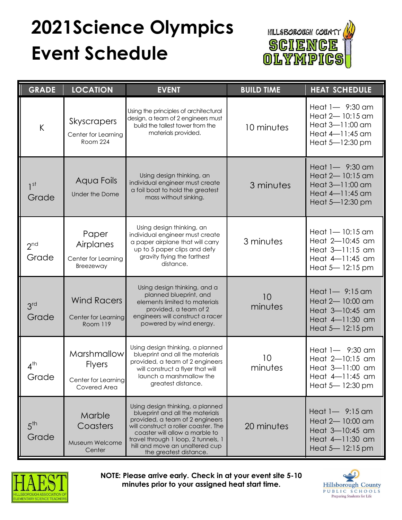## **2021Science Olympics Event Schedule**



| <b>GRADE</b>             | <b>LOCATION</b>                                                            | <b>EVENT</b>                                                                                                                                                                                                                                                                        | <b>BUILD TIME</b> | <b>HEAT SCHEDULE</b>                                                                               |
|--------------------------|----------------------------------------------------------------------------|-------------------------------------------------------------------------------------------------------------------------------------------------------------------------------------------------------------------------------------------------------------------------------------|-------------------|----------------------------------------------------------------------------------------------------|
| $\sf K$                  | Skyscrapers<br>Center for Learning<br>Room 224                             | Using the principles of architectural<br>design, a team of 2 engineers must<br>build the tallest tower from the<br>materials provided.                                                                                                                                              | 10 minutes        | Heat $1 - 9:30$ am<br>Heat $2-10:15$ am<br>Heat 3-11:00 am<br>Heat 4-11:45 am<br>Heat $5-12:30$ pm |
| 1 <sup>st</sup><br>Grade | Aqua Foils<br>Under the Dome                                               | Using design thinking, an<br>individual engineer must create<br>a foil boat to hold the greatest<br>mass without sinking.                                                                                                                                                           | 3 minutes         | Heat 1- 9:30 am<br>Heat 2-10:15 am<br>Heat 3-11:00 am<br>Heat 4-11:45 am<br>Heat $5-12:30$ pm      |
| 2 <sup>nd</sup><br>Grade | Paper<br>Airplanes<br>Center for Learning<br>Breezeway                     | Using design thinking, an<br>individual engineer must create<br>3 minutes<br>a paper airplane that will carry<br>up to 5 paper clips and defy<br>gravity flying the farthest<br>distance.                                                                                           |                   | Heat 1-10:15 am<br>Heat 2-10:45 am<br>Heat 3-11:15 am<br>Heat 4-11:45 am<br>Heat $5-12:15$ pm      |
| 3 <sup>rd</sup><br>Grade | <b>Wind Racers</b><br>Center for Learning<br>Room 119                      | Using design thinking, and a<br>planned blueprint, and<br>elements limited to materials<br>provided, a team of 2<br>engineers will construct a racer<br>powered by wind energy.                                                                                                     | 10<br>minutes     | Heat $1 - 9:15$ am<br>Heat 2-10:00 am<br>Heat 3-10:45 am<br>Heat 4-11:30 am<br>Heat $5-12:15$ pm   |
| $4^{\text{th}}$<br>Grade | <b>Marshmallow</b><br><b>Flyers</b><br>Center for Learning<br>Covered Area | Using design thinking, a planned<br>blueprint and all the materials<br>provided, a team of 2 engineers<br>will construct a flyer that will<br>launch a marshmallow the<br>greatest distance.                                                                                        | 10<br>minutes     | Heat $1 - 9:30$ am<br>Heat 2-10:15 am<br>Heat 3-11:00 am<br>Heat $4-11:45$ am<br>Heat 5-12:30 pm   |
| $5^{\text{th}}$<br>Grade | Marble<br>Coasters<br>Museum Welcome<br>Center                             | Using design thinking, a planned<br>blueprint and all the materials<br>provided, a team of 2 engineers<br>will construct a roller coaster. The<br>coaster will allow a marble to<br>travel through 1 loop, 2 tunnels, 1<br>hill and move an unaltered cup<br>the greatest distance. | 20 minutes        | Heat $1 - 9:15$ am<br>Heat 2-10:00 am<br>Heat 3-10:45 am<br>Heat 4-11:30 am<br>Heat $5 - 12:15$ pm |



**NOTE: Please arrive early. Check in at your event site 5-10 minutes prior to your assigned heat start time.**